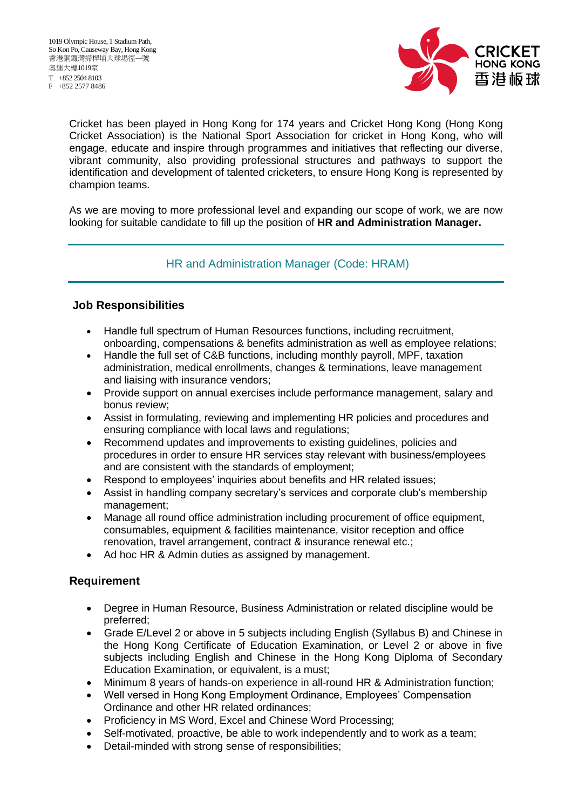F +852 2577 8486



Cricket has been played in Hong Kong for 174 years and Cricket Hong Kong (Hong Kong Cricket Association) is the National Sport Association for cricket in Hong Kong, who will engage, educate and inspire through programmes and initiatives that reflecting our diverse, vibrant community, also providing professional structures and pathways to support the identification and development of talented cricketers, to ensure Hong Kong is represented by champion teams.

As we are moving to more professional level and expanding our scope of work, we are now looking for suitable candidate to fill up the position of **HR and Administration Manager.**

## HR and Administration Manager (Code: HRAM)

## **Job Responsibilities**

- Handle full spectrum of Human Resources functions, including recruitment, onboarding, compensations & benefits administration as well as employee relations;
- Handle the full set of C&B functions, including monthly payroll, MPF, taxation administration, medical enrollments, changes & terminations, leave management and liaising with insurance vendors;
- Provide support on annual exercises include performance management, salary and bonus review;
- Assist in formulating, reviewing and implementing HR policies and procedures and ensuring compliance with local laws and regulations;
- Recommend updates and improvements to existing guidelines, policies and procedures in order to ensure HR services stay relevant with business/employees and are consistent with the standards of employment;
- Respond to employees' inquiries about benefits and HR related issues;
- Assist in handling company secretary's services and corporate club's membership management;
- Manage all round office administration including procurement of office equipment, consumables, equipment & facilities maintenance, visitor reception and office renovation, travel arrangement, contract & insurance renewal etc.;
- Ad hoc HR & Admin duties as assigned by management.

## **Requirement**

- Degree in Human Resource, Business Administration or related discipline would be preferred;
- Grade E/Level 2 or above in 5 subjects including English (Syllabus B) and Chinese in the Hong Kong Certificate of Education Examination, or Level 2 or above in five subjects including English and Chinese in the Hong Kong Diploma of Secondary Education Examination, or equivalent, is a must;
- Minimum 8 years of hands-on experience in all-round HR & Administration function;
- Well versed in Hong Kong Employment Ordinance, Employees' Compensation Ordinance and other HR related ordinances;
- Proficiency in MS Word, Excel and Chinese Word Processing;
- Self-motivated, proactive, be able to work independently and to work as a team;
- Detail-minded with strong sense of responsibilities;